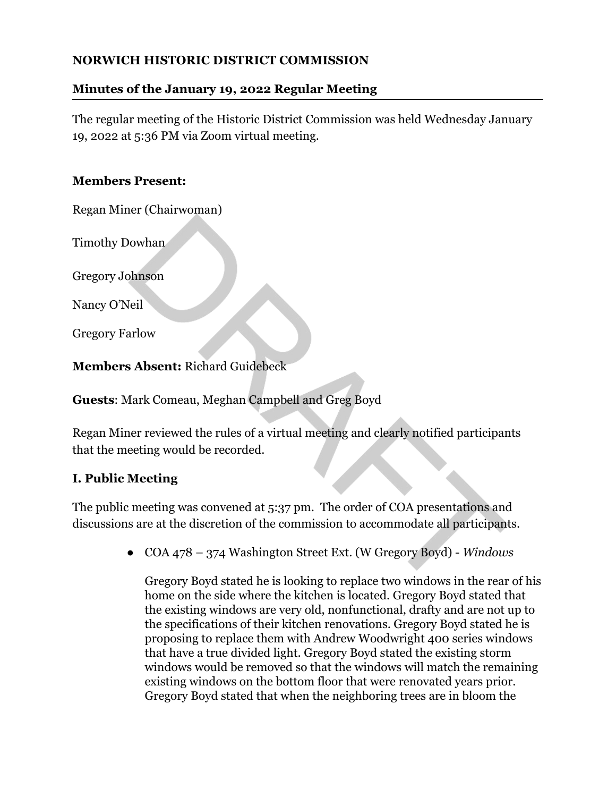### **NORWICH HISTORIC DISTRICT COMMISSION**

# **Minutes of the January 19, 2022 Regular Meeting**

The regular meeting of the Historic District Commission was held Wednesday January 19, 2022 at 5:36 PM via Zoom virtual meeting.

## **Members Present:**

Regan Miner (Chairwoman)

Timothy Dowhan

Gregory Johnson

Nancy O'Neil

Gregory Farlow

**Members Absent:** Richard Guidebeck

**Guests**: Mark Comeau, Meghan Campbell and Greg Boyd

Regan Miner reviewed the rules of a virtual meeting and clearly notified participants that the meeting would be recorded.

# **I. Public Meeting**

The public meeting was convened at 5:37 pm. The order of COA presentations and discussions are at the discretion of the commission to accommodate all participants.

*●* COA 478 – 374 Washington Street Ext. (W Gregory Boyd) - *Windows*

Gregory Boyd stated he is looking to replace two windows in the rear of his home on the side where the kitchen is located. Gregory Boyd stated that the existing windows are very old, nonfunctional, drafty and are not up to the specifications of their kitchen renovations. Gregory Boyd stated he is proposing to replace them with Andrew Woodwright 400 series windows that have a true divided light. Gregory Boyd stated the existing storm windows would be removed so that the windows will match the remaining existing windows on the bottom floor that were renovated years prior. Gregory Boyd stated that when the neighboring trees are in bloom the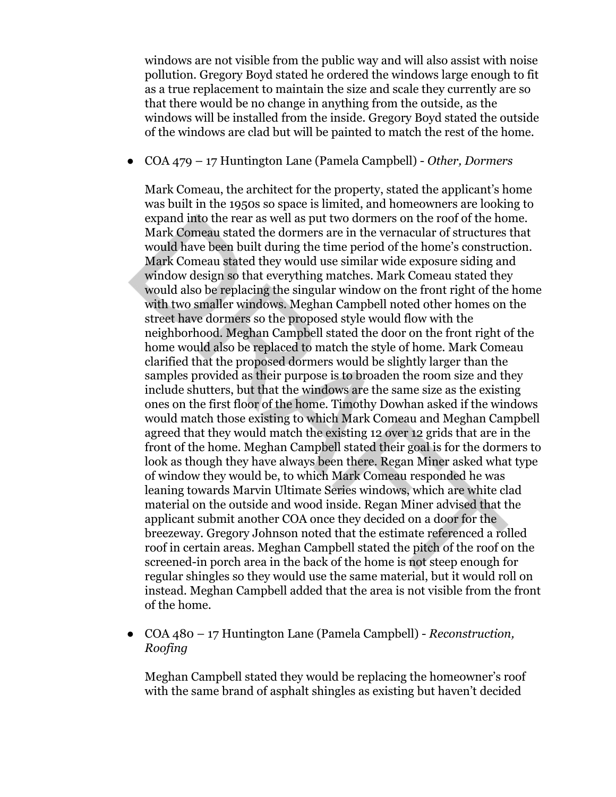windows are not visible from the public way and will also assist with noise pollution. Gregory Boyd stated he ordered the windows large enough to fit as a true replacement to maintain the size and scale they currently are so that there would be no change in anything from the outside, as the windows will be installed from the inside. Gregory Boyd stated the outside of the windows are clad but will be painted to match the rest of the home.

*●* COA 479 – 17 Huntington Lane (Pamela Campbell) - *Other, Dormers*

Mark Comeau, the architect for the property, stated the applicant's home was built in the 1950s so space is limited, and homeowners are looking to expand into the rear as well as put two dormers on the roof of the home. Mark Comeau stated the dormers are in the vernacular of structures that would have been built during the time period of the home's construction. Mark Comeau stated they would use similar wide exposure siding and window design so that everything matches. Mark Comeau stated they would also be replacing the singular window on the front right of the home with two smaller windows. Meghan Campbell noted other homes on the street have dormers so the proposed style would flow with the neighborhood. Meghan Campbell stated the door on the front right of the home would also be replaced to match the style of home. Mark Comeau clarified that the proposed dormers would be slightly larger than the samples provided as their purpose is to broaden the room size and they include shutters, but that the windows are the same size as the existing ones on the first floor of the home. Timothy Dowhan asked if the windows would match those existing to which Mark Comeau and Meghan Campbell agreed that they would match the existing 12 over 12 grids that are in the front of the home. Meghan Campbell stated their goal is for the dormers to look as though they have always been there. Regan Miner asked what type of window they would be, to which Mark Comeau responded he was leaning towards Marvin Ultimate Series windows, which are white clad material on the outside and wood inside. Regan Miner advised that the applicant submit another COA once they decided on a door for the breezeway. Gregory Johnson noted that the estimate referenced a rolled roof in certain areas. Meghan Campbell stated the pitch of the roof on the screened-in porch area in the back of the home is not steep enough for regular shingles so they would use the same material, but it would roll on instead. Meghan Campbell added that the area is not visible from the front of the home.

*●* COA 480 – 17 Huntington Lane (Pamela Campbell) - *Reconstruction, Roofing*

Meghan Campbell stated they would be replacing the homeowner's roof with the same brand of asphalt shingles as existing but haven't decided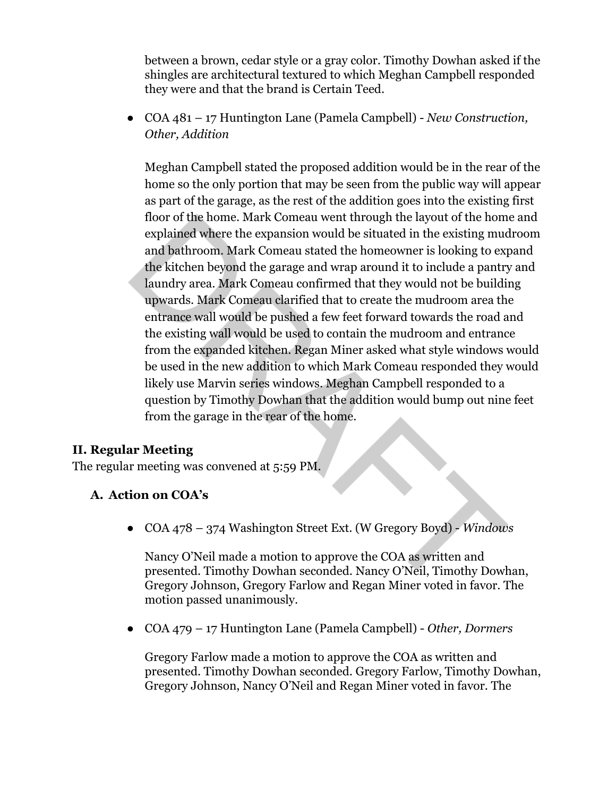between a brown, cedar style or a gray color. Timothy Dowhan asked if the shingles are architectural textured to which Meghan Campbell responded they were and that the brand is Certain Teed.

● COA 481 – 17 Huntington Lane (Pamela Campbell) - *New Construction, Other, Addition*

Meghan Campbell stated the proposed addition would be in the rear of the home so the only portion that may be seen from the public way will appear as part of the garage, as the rest of the addition goes into the existing first floor of the home. Mark Comeau went through the layout of the home and explained where the expansion would be situated in the existing mudroom and bathroom. Mark Comeau stated the homeowner is looking to expand the kitchen beyond the garage and wrap around it to include a pantry and laundry area. Mark Comeau confirmed that they would not be building upwards. Mark Comeau clarified that to create the mudroom area the entrance wall would be pushed a few feet forward towards the road and the existing wall would be used to contain the mudroom and entrance from the expanded kitchen. Regan Miner asked what style windows would be used in the new addition to which Mark Comeau responded they would likely use Marvin series windows. Meghan Campbell responded to a question by Timothy Dowhan that the addition would bump out nine feet from the garage in the rear of the home.

#### **II. Regular Meeting**

The regular meeting was convened at 5:59 PM.

#### **A. Action on COA's**

*●* COA 478 – 374 Washington Street Ext. (W Gregory Boyd) - *Windows*

Nancy O'Neil made a motion to approve the COA as written and presented. Timothy Dowhan seconded. Nancy O'Neil, Timothy Dowhan, Gregory Johnson, Gregory Farlow and Regan Miner voted in favor. The motion passed unanimously.

*●* COA 479 – 17 Huntington Lane (Pamela Campbell) - *Other, Dormers*

Gregory Farlow made a motion to approve the COA as written and presented. Timothy Dowhan seconded. Gregory Farlow, Timothy Dowhan, Gregory Johnson, Nancy O'Neil and Regan Miner voted in favor. The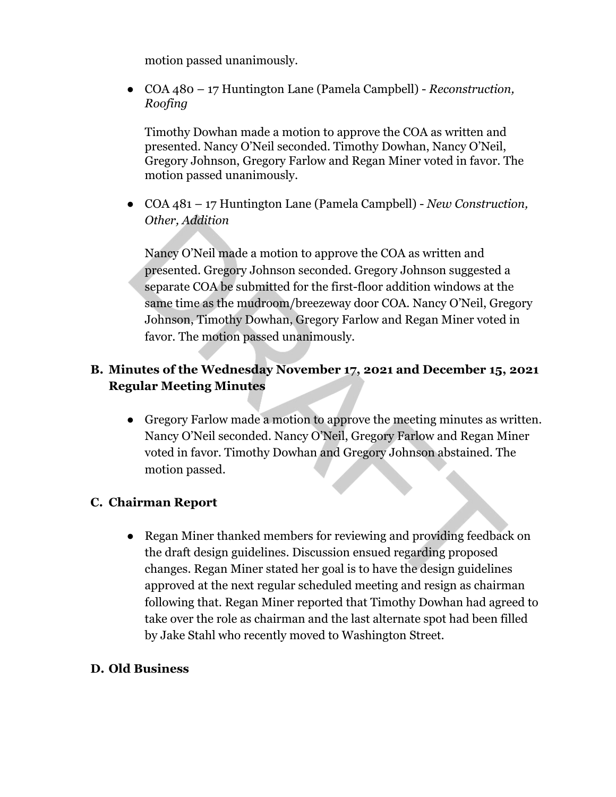motion passed unanimously.

*●* COA 480 – 17 Huntington Lane (Pamela Campbell) - *Reconstruction, Roofing*

Timothy Dowhan made a motion to approve the COA as written and presented. Nancy O'Neil seconded. Timothy Dowhan, Nancy O'Neil, Gregory Johnson, Gregory Farlow and Regan Miner voted in favor. The motion passed unanimously.

*●* COA 481 – 17 Huntington Lane (Pamela Campbell) - *New Construction, Other, Addition*

Nancy O'Neil made a motion to approve the COA as written and presented. Gregory Johnson seconded. Gregory Johnson suggested a separate COA be submitted for the first-floor addition windows at the same time as the mudroom/breezeway door COA. Nancy O'Neil, Gregory Johnson, Timothy Dowhan, Gregory Farlow and Regan Miner voted in favor. The motion passed unanimously.

### **B. Minutes of the Wednesday November 17, 2021 and December 15, 2021 Regular Meeting Minutes**

**●** Gregory Farlow made a motion to approve the meeting minutes as written. Nancy O'Neil seconded. Nancy O'Neil, Gregory Farlow and Regan Miner voted in favor. Timothy Dowhan and Gregory Johnson abstained. The motion passed.

### **C. Chairman Report**

**●** Regan Miner thanked members for reviewing and providing feedback on the draft design guidelines. Discussion ensued regarding proposed changes. Regan Miner stated her goal is to have the design guidelines approved at the next regular scheduled meeting and resign as chairman following that. Regan Miner reported that Timothy Dowhan had agreed to take over the role as chairman and the last alternate spot had been filled by Jake Stahl who recently moved to Washington Street.

#### **D. Old Business**